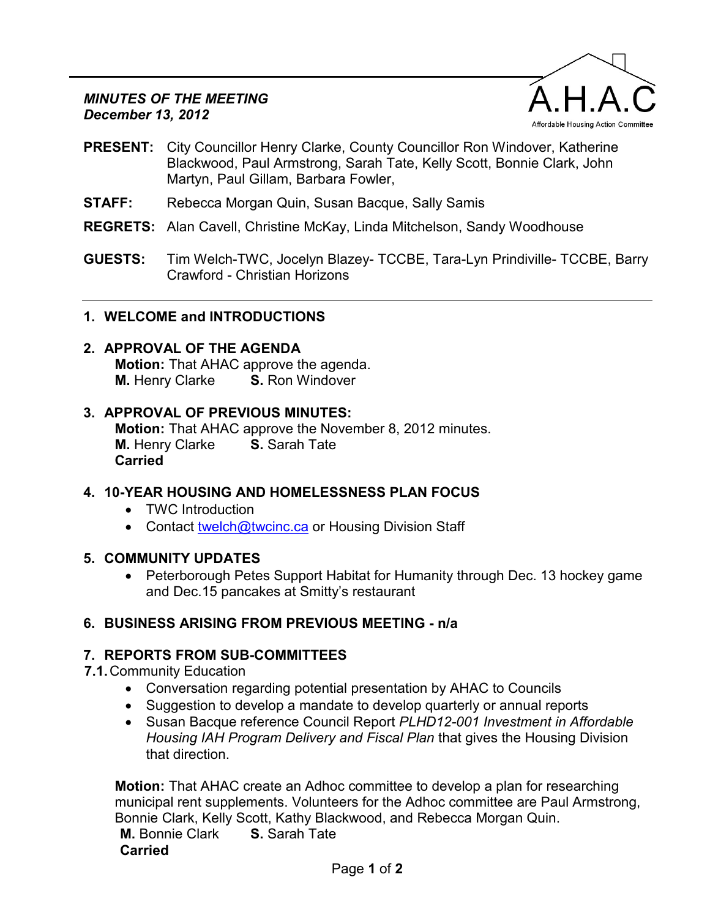#### *MINUTES OF THE MEETING December 13, 2012*



- **PRESENT:** City Councillor Henry Clarke, County Councillor Ron Windover, Katherine Blackwood, Paul Armstrong, Sarah Tate, Kelly Scott, Bonnie Clark, John Martyn, Paul Gillam, Barbara Fowler,
- **STAFF:** Rebecca Morgan Quin, Susan Bacque, Sally Samis
- **REGRETS:** Alan Cavell, Christine McKay, Linda Mitchelson, Sandy Woodhouse
- **GUESTS:** Tim Welch-TWC, Jocelyn Blazey- TCCBE, Tara-Lyn Prindiville- TCCBE, Barry Crawford - Christian Horizons

### **1. WELCOME and INTRODUCTIONS**

# **2. APPROVAL OF THE AGENDA**

**Motion:** That AHAC approve the agenda. **M.** Henry Clarke **S.** Ron Windover

#### **3. APPROVAL OF PREVIOUS MINUTES:**

**Motion:** That AHAC approve the November 8, 2012 minutes. **M.** Henry Clarke **S.** Sarah Tate **Carried**

## **4. 10-YEAR HOUSING AND HOMELESSNESS PLAN FOCUS**

- TWC Introduction
- Contact [twelch@twcinc.ca o](mailto:twelch@twcinc.ca)r Housing Division Staff

#### **5. COMMUNITY UPDATES**

• Peterborough Petes Support Habitat for Humanity through Dec. 13 hockey game and Dec.15 pancakes at Smitty's restaurant

## **6. BUSINESS ARISING FROM PREVIOUS MEETING - n/a**

## **7. REPORTS FROM SUB-COMMITTEES**

**7.1.** Community Education

- Conversation regarding potential presentation by AHAC to Councils
- Suggestion to develop a mandate to develop quarterly or annual reports
- Susan Bacque reference Council Report *PLHD12-001 Investment in Affordable Housing IAH Program Delivery and Fiscal Plan* that gives the Housing Division that direction.

**Motion:** That AHAC create an Adhoc committee to develop a plan for researching municipal rent supplements. Volunteers for the Adhoc committee are Paul Armstrong, Bonnie Clark, Kelly Scott, Kathy Blackwood, and Rebecca Morgan Quin. **M.** Bonnie Clark **S.** Sarah Tate **Carried**